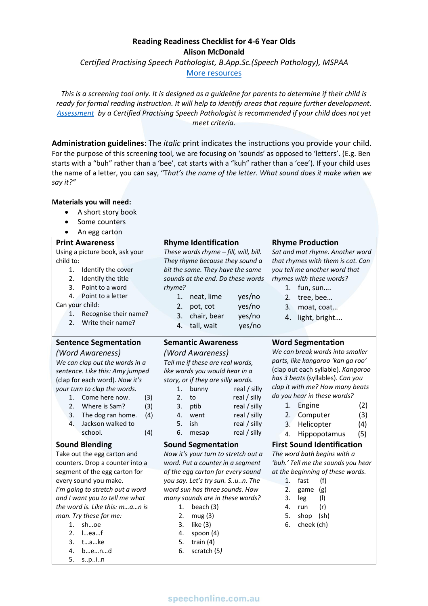## **Reading Readiness Checklist for 4-6 Year Olds Alison McDonald**

*Certified Practising Speech Pathologist, B.App.Sc.(Speech Pathology), MSPAA*

[More resources](https://speechonline.com.au/resources)

*This is a screening tool only. It is designed as a guideline for parents to determine if their child is ready for formal reading instruction. It will help to identify areas that require further development. [Assessment](https://speechonline.com.au/book-now/) by a Certified Practising Speech Pathologist is recommended if your child does not yet meet criteria.* 

**Administration guidelines**: The *italic* print indicates the instructions you provide your child. For the purpose of this screening tool, we are focusing on 'sounds' as opposed to 'letters'. (E.g. Ben starts with a "buh" rather than a 'bee', cat starts with a "kuh" rather than a 'cee'). If your child uses the name of a letter, you can say, "T*hat's the name of the letter. What sound does it make when we say it?"*

#### **Materials you will need:**

- A short story book
- Some counters
- An egg carton

| <b>Print Awareness</b>                                    | <b>Rhyme Identification</b>           | <b>Rhyme Production</b>            |  |
|-----------------------------------------------------------|---------------------------------------|------------------------------------|--|
| Using a picture book, ask your                            | These words rhyme - fill, will, bill. | Sat and mat rhyme. Another word    |  |
| child to:                                                 | They rhyme because they sound a       | that rhymes with them is cat. Can  |  |
| 1.<br>Identify the cover                                  | bit the same. They have the same      | you tell me another word that      |  |
| 2.<br>Identify the title                                  | sounds at the end. Do these words     | rhymes with these words?           |  |
| 3.<br>Point to a word                                     | rhyme?                                | fun, sun<br>1.                     |  |
| Point to a letter<br>4.                                   | 1.<br>neat, lime<br>yes/no            | 2.<br>tree, bee                    |  |
| Can your child:                                           | 2.<br>pot, cot<br>yes/no              | 3.<br>moat, coat                   |  |
| Recognise their name?<br>1.                               | 3.<br>chair, bear<br>yes/no           | 4.<br>light, bright                |  |
| Write their name?<br>2.                                   | tall, wait<br>yes/no<br>4.            |                                    |  |
|                                                           |                                       |                                    |  |
| <b>Sentence Segmentation</b>                              | <b>Semantic Awareness</b>             | <b>Word Segmentation</b>           |  |
| (Word Awareness)                                          | (Word Awareness)                      | We can break words into smaller    |  |
| We can clap out the words in a                            | Tell me if these are real words,      | parts, like kangaroo 'kan ga roo'  |  |
| sentence. Like this: Amy jumped                           | like words you would hear in a        | (clap out each syllable). Kangaroo |  |
| (clap for each word). Now it's                            | story, or if they are silly words.    | has 3 beats (syllables). Can you   |  |
| your turn to clap the words.                              | real / silly<br>1.<br>bunny           | clap it with me? How many beats    |  |
| Come here now.<br>1.<br>(3)                               | 2.<br>real / silly<br>to              | do you hear in these words?        |  |
| Where is Sam?<br>(3)<br>2.                                | real / silly<br>3.<br>ptib            | Engine<br>(2)<br>1.                |  |
| The dog ran home.<br>(4)<br>3.                            | real / silly<br>4.<br>went            | (3)<br>2.<br>Computer              |  |
| Jackson walked to<br>4.                                   | real / silly<br>5.<br>ish             | 3.<br>Helicopter<br>(4)            |  |
| school.<br>(4)                                            | real / silly<br>6.<br>mesap           | Hippopotamus<br>(5)<br>4.          |  |
| <b>Sound Blending</b>                                     | <b>Sound Segmentation</b>             | <b>First Sound Identification</b>  |  |
| Take out the egg carton and                               | Now it's your turn to stretch out a   | The word bath begins with a        |  |
| counters. Drop a counter into a                           | word. Put a counter in a segment      | 'buh.' Tell me the sounds you hear |  |
| segment of the egg carton for                             | of the egg carton for every sound     | at the beginning of these words.   |  |
| every sound you make.<br>you say. Let's try sun. Sun. The |                                       | 1.<br>fast<br>(f)                  |  |
| I'm going to stretch out a word                           | word sun has three sounds. How        | 2.<br>(g)<br>game                  |  |
| and I want you to tell me what                            | many sounds are in these words?       | 3.<br>leg<br>(1)                   |  |
| the word is. Like this: man is                            | 1.<br>beach (3)                       | 4.<br>(r)<br>run                   |  |
| man. Try these for me:                                    | 2.<br>mug(3)                          | 5.<br>(sh)<br>shop                 |  |
| shoe<br>1.                                                | 3.<br>like $(3)$                      | 6.<br>cheek (ch)                   |  |
| 2.<br>Ieaf                                                | 4.<br>spoon (4)                       |                                    |  |
| take<br>3.                                                | 5.<br>train $(4)$                     |                                    |  |
| 4.<br>bend                                                | 6.<br>scratch (5)                     |                                    |  |
| 5.<br>spin                                                |                                       |                                    |  |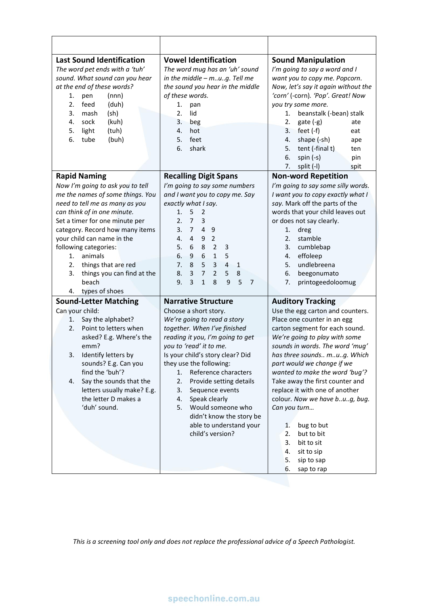| <b>Last Sound Identification</b><br>The word pet ends with a 'tuh'<br>sound. What sound can you hear<br>at the end of these words?<br>(nnn)<br>1.<br>pen<br>2.<br>feed<br>(duh)<br>3.<br>(sh)<br>mash<br>4.<br>sock<br>(kuh)<br>5.<br>light<br>(tuh)<br>6.<br>tube<br>(buh)                                                                                                                                 | <b>Vowel Identification</b><br>The word mug has an 'uh' sound<br>in the middle - mug. Tell me<br>the sound you hear in the middle<br>of these words.<br>1.<br>pan<br>lid<br>2.<br>3.<br>beg<br>4.<br>hot<br>feet<br>5.<br>6.<br>shark                                                                                                                                                                                                                                                                                                   | <b>Sound Manipulation</b><br>I'm going to say a word and I<br>want you to copy me. Popcorn.<br>Now, let's say it again without the<br>'corn' (-corn). 'Pop'. Great! Now<br>you try some more.<br>beanstalk (-bean) stalk<br>1.<br>2.<br>$gate(-g)$<br>ate<br>3.<br>feet $(-f)$<br>eat<br>shape (-sh)<br>4.<br>ape<br>5.<br>tent (-final t)<br>ten<br>6.<br>spin $(-s)$<br>pin                                                                                                                                                                  |  |  |
|-------------------------------------------------------------------------------------------------------------------------------------------------------------------------------------------------------------------------------------------------------------------------------------------------------------------------------------------------------------------------------------------------------------|-----------------------------------------------------------------------------------------------------------------------------------------------------------------------------------------------------------------------------------------------------------------------------------------------------------------------------------------------------------------------------------------------------------------------------------------------------------------------------------------------------------------------------------------|------------------------------------------------------------------------------------------------------------------------------------------------------------------------------------------------------------------------------------------------------------------------------------------------------------------------------------------------------------------------------------------------------------------------------------------------------------------------------------------------------------------------------------------------|--|--|
|                                                                                                                                                                                                                                                                                                                                                                                                             |                                                                                                                                                                                                                                                                                                                                                                                                                                                                                                                                         | split (-I)<br>7.<br>spit                                                                                                                                                                                                                                                                                                                                                                                                                                                                                                                       |  |  |
| <b>Rapid Naming</b><br>Now I'm going to ask you to tell<br>me the names of some things. You<br>need to tell me as many as you<br>can think of in one minute.<br>Set a timer for one minute per<br>category. Record how many items<br>your child can name in the<br>following categories:<br>animals<br>1.<br>2.<br>things that are red<br>things you can find at the<br>3.<br>beach<br>types of shoes<br>4. | <b>Recalling Digit Spans</b><br>I'm going to say some numbers<br>and I want you to copy me. Say<br>exactly what I say.<br>5<br>1.<br>$\overline{2}$<br>$\overline{7}$<br>2.<br>3<br>$\overline{4}$<br>$\overline{7}$<br>3.<br>9<br>$\overline{2}$<br>4.<br>4<br>9<br>5.<br>8<br>$\overline{2}$<br>6<br>3<br>6.<br>$6\phantom{1}6$<br>9<br>$\mathbf{1}$<br>5<br>7.<br>5<br>$\overline{3}$<br>8<br>$\overline{4}$<br>$\mathbf{1}$<br>8.<br>$\overline{7}$<br>3<br>$\overline{2}$<br>5<br>8<br>5<br>9.<br>3<br>$\mathbf{1}$<br>8<br>9<br>7 | <b>Non-word Repetition</b><br>I'm going to say some silly words.<br>I want you to copy exactly what I<br>say. Mark off the parts of the<br>words that your child leaves out<br>or does not say clearly.<br>1.<br>dreg<br>stamble<br>2.<br>3.<br>cumblebap<br>4.<br>effoleep<br>undlebreena<br>5.<br>6.<br>beegonumato<br>7.<br>printogeedoloomug                                                                                                                                                                                               |  |  |
| <b>Sound-Letter Matching</b><br>Can your child:<br>Say the alphabet?<br>1.<br>Point to letters when<br>2.<br>asked? E.g. Where's the<br>emm?<br>Identify letters by<br>3.<br>sounds? E.g. Can you<br>find the 'buh'?<br>Say the sounds that the<br>4.<br>letters usually make? E.g.<br>the letter D makes a<br>'duh' sound.                                                                                 | <b>Narrative Structure</b><br>Choose a short story.<br>We're going to read a story<br>together. When I've finished<br>reading it you, I'm going to get<br>you to 'read' it to me.<br>Is your child's story clear? Did<br>they use the following:<br>Reference characters<br>1.<br>2.<br>Provide setting details<br>3.<br>Sequence events<br>Speak clearly<br>4.<br>Would someone who<br>5.<br>didn't know the story be<br>able to understand your<br>child's version?                                                                   | <b>Auditory Tracking</b><br>Use the egg carton and counters.<br>Place one counter in an egg<br>carton segment for each sound.<br>We're going to play with some<br>sounds in words. The word 'mug'<br>has three sounds mug. Which<br>part would we change if we<br>wanted to make the word 'bug'?<br>Take away the first counter and<br>replace it with one of another<br>colour. Now we have bug, bug.<br>Can you turn<br>bug to but<br>1.<br>but to bit<br>2.<br>bit to sit<br>3.<br>4.<br>sit to sip<br>5.<br>sip to sap<br>6.<br>sap to rap |  |  |

*This is a screening tool only and does not replace the professional advice of a Speech Pathologist.*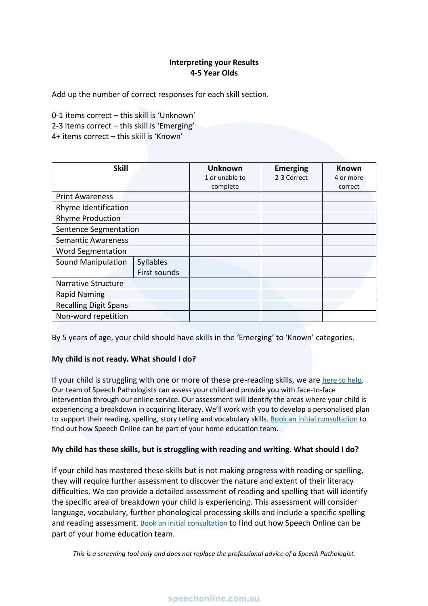## **Interpreting your Results 4-5 Year Olds**

Add up the number of correct responses for each skill section.

0-1 items correct – this skill is 'Unknown' 2-3 items correct – this skill is 'Emerging' 4+ items correct – this skill is 'Known'

| <b>Skill</b>                 |              | <b>Unknown</b><br>1 or unable to | <b>Emerging</b><br>2-3 Correct | <b>Known</b><br>4 or more |
|------------------------------|--------------|----------------------------------|--------------------------------|---------------------------|
|                              |              | complete                         |                                | correct                   |
| <b>Print Awareness</b>       |              |                                  |                                |                           |
| Rhyme Identification         |              |                                  |                                |                           |
| <b>Rhyme Production</b>      |              |                                  |                                |                           |
| <b>Sentence Segmentation</b> |              |                                  |                                |                           |
| <b>Semantic Awareness</b>    |              |                                  |                                |                           |
| <b>Word Segmentation</b>     |              |                                  |                                |                           |
| Sound Manipulation           | Syllables    |                                  |                                |                           |
|                              | First sounds |                                  |                                |                           |
| <b>Narrative Structure</b>   |              |                                  |                                |                           |
| <b>Rapid Naming</b>          |              |                                  |                                |                           |
| <b>Recalling Digit Spans</b> |              |                                  |                                |                           |
| Non-word repetition          |              |                                  |                                |                           |

By 5 years of age, your child should have skills in the 'Emerging' to 'Known' categories.

## **My child is not ready. What should I do?**

If your child is struggling with one or more of these pre-reading skills, we are [here to help.](https://speechonline.com.au/) Our team of Speech Pathologists can assess your child and provide you with face-to-face intervention through our online service. Our assessment will identify the areas where your child is experiencing a breakdown in acquiring literacy. We'll work with you to develop a personalised plan to support their reading, spelling, story telling and vocabulary skills. [Book an initial consultation](https://speechonline.com.au/book-now/) to find out how Speech Online can be part of your home education team.

#### **My child has these skills, but is struggling with reading and writing. What should I do?**

If your child has mastered these skills but is not making progress with reading or spelling, they will require further assessment to discover the nature and extent of their literacy difficulties. We can provide a detailed assessment of reading and spelling that will identify the specific area of breakdown your child is experiencing. This assessment will consider language, vocabulary, further phonological processing skills and include a specific spelling and reading assessment. [Book an initial consultation](https://speechonline.com.au/book-now/) to find out how Speech Online can be part of your home education team.

*This is a screening tool only and does not replace the professional advice of a Speech Pathologist.*

## speechonline.com.au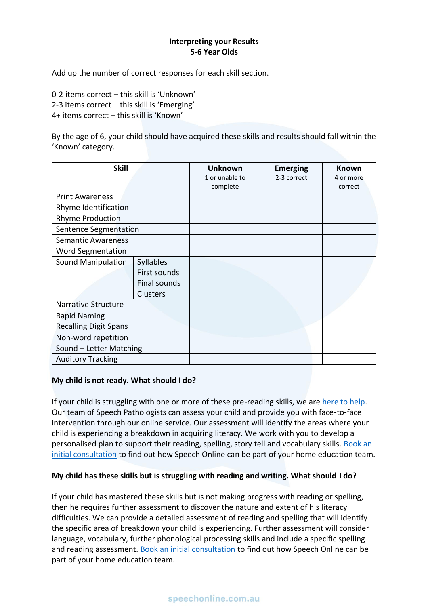### **Interpreting your Results 5-6 Year Olds**

Add up the number of correct responses for each skill section.

0-2 items correct – this skill is 'Unknown'

2-3 items correct – this skill is 'Emerging'

4+ items correct – this skill is 'Known'

By the age of 6, your child should have acquired these skills and results should fall within the 'Known' category.

| <b>Skill</b>                 |              | <b>Unknown</b><br>1 or unable to | <b>Emerging</b><br>2-3 correct | <b>Known</b><br>4 or more |
|------------------------------|--------------|----------------------------------|--------------------------------|---------------------------|
|                              |              | complete                         |                                | correct                   |
| <b>Print Awareness</b>       |              |                                  |                                |                           |
| Rhyme Identification         |              |                                  |                                |                           |
| <b>Rhyme Production</b>      |              |                                  |                                |                           |
| Sentence Segmentation        |              |                                  |                                |                           |
| <b>Semantic Awareness</b>    |              |                                  |                                |                           |
| <b>Word Segmentation</b>     |              |                                  |                                |                           |
| <b>Sound Manipulation</b>    | Syllables    |                                  |                                |                           |
|                              | First sounds |                                  |                                |                           |
|                              | Final sounds |                                  |                                |                           |
|                              | Clusters     |                                  |                                |                           |
| <b>Narrative Structure</b>   |              |                                  |                                |                           |
| <b>Rapid Naming</b>          |              |                                  |                                |                           |
| <b>Recalling Digit Spans</b> |              |                                  |                                |                           |
| Non-word repetition          |              |                                  |                                |                           |
| Sound - Letter Matching      |              |                                  |                                |                           |
| <b>Auditory Tracking</b>     |              |                                  |                                |                           |

#### **My child is not ready. What should I do?**

If your child is struggling with one or more of these pre-reading skills, we ar[e here to help.](https://speechonline.com.au/) Our team of Speech Pathologists can assess your child and provide you with face-to-face intervention through our online service. Our assessment will identify the areas where your child is experiencing a breakdown in acquiring literacy. We work with you to develop a personalised plan to support their reading, spelling, story tell and vocabulary skills. Book an [initial consultation](https://speechonline.com.au/book-now/) to find out how Speech Online can be part of your home education team.

## **My child has these skills but is struggling with reading and writing. What should I do?**

If your child has mastered these skills but is not making progress with reading or spelling, then he requires further assessment to discover the nature and extent of his literacy difficulties. We can provide a detailed assessment of reading and spelling that will identify the specific area of breakdown your child is experiencing. Further assessment will consider language, vocabulary, further phonological processing skills and include a specific spelling and reading assessment. [Book an initial consultation](https://speechonline.com.au/book-now/) to find out how Speech Online can be part of your home education team.

# speechonline.com.au